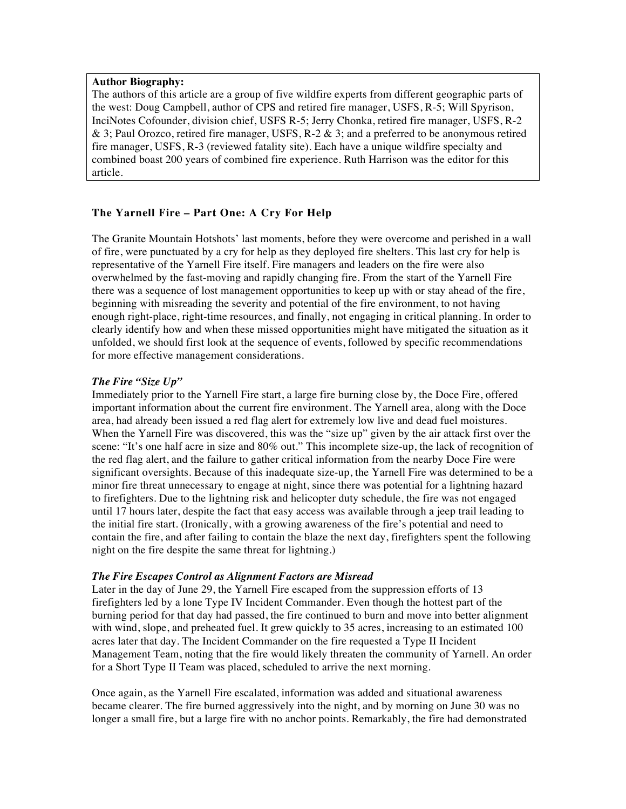### **Author Biography:**

The authors of this article are a group of five wildfire experts from different geographic parts of the west: Doug Campbell, author of CPS and retired fire manager, USFS, R-5; Will Spyrison, InciNotes Cofounder, division chief, USFS R-5; Jerry Chonka, retired fire manager, USFS, R-2 & 3; Paul Orozco, retired fire manager, USFS,  $R-2 \& 3$ ; and a preferred to be anonymous retired fire manager, USFS, R-3 (reviewed fatality site). Each have a unique wildfire specialty and combined boast 200 years of combined fire experience. Ruth Harrison was the editor for this article.

# **The Yarnell Fire – Part One: A Cry For Help**

The Granite Mountain Hotshots' last moments, before they were overcome and perished in a wall of fire, were punctuated by a cry for help as they deployed fire shelters. This last cry for help is representative of the Yarnell Fire itself. Fire managers and leaders on the fire were also overwhelmed by the fast-moving and rapidly changing fire. From the start of the Yarnell Fire there was a sequence of lost management opportunities to keep up with or stay ahead of the fire, beginning with misreading the severity and potential of the fire environment, to not having enough right-place, right-time resources, and finally, not engaging in critical planning. In order to clearly identify how and when these missed opportunities might have mitigated the situation as it unfolded, we should first look at the sequence of events, followed by specific recommendations for more effective management considerations.

## *The Fire "Size Up"*

Immediately prior to the Yarnell Fire start, a large fire burning close by, the Doce Fire, offered important information about the current fire environment. The Yarnell area, along with the Doce area, had already been issued a red flag alert for extremely low live and dead fuel moistures. When the Yarnell Fire was discovered, this was the "size up" given by the air attack first over the scene: "It's one half acre in size and 80% out." This incomplete size-up, the lack of recognition of the red flag alert, and the failure to gather critical information from the nearby Doce Fire were significant oversights. Because of this inadequate size-up, the Yarnell Fire was determined to be a minor fire threat unnecessary to engage at night, since there was potential for a lightning hazard to firefighters. Due to the lightning risk and helicopter duty schedule, the fire was not engaged until 17 hours later, despite the fact that easy access was available through a jeep trail leading to the initial fire start. (Ironically, with a growing awareness of the fire's potential and need to contain the fire, and after failing to contain the blaze the next day, firefighters spent the following night on the fire despite the same threat for lightning.)

#### *The Fire Escapes Control as Alignment Factors are Misread*

Later in the day of June 29, the Yarnell Fire escaped from the suppression efforts of 13 firefighters led by a lone Type IV Incident Commander. Even though the hottest part of the burning period for that day had passed, the fire continued to burn and move into better alignment with wind, slope, and preheated fuel. It grew quickly to 35 acres, increasing to an estimated 100 acres later that day. The Incident Commander on the fire requested a Type II Incident Management Team, noting that the fire would likely threaten the community of Yarnell. An order for a Short Type II Team was placed, scheduled to arrive the next morning.

Once again, as the Yarnell Fire escalated, information was added and situational awareness became clearer. The fire burned aggressively into the night, and by morning on June 30 was no longer a small fire, but a large fire with no anchor points. Remarkably, the fire had demonstrated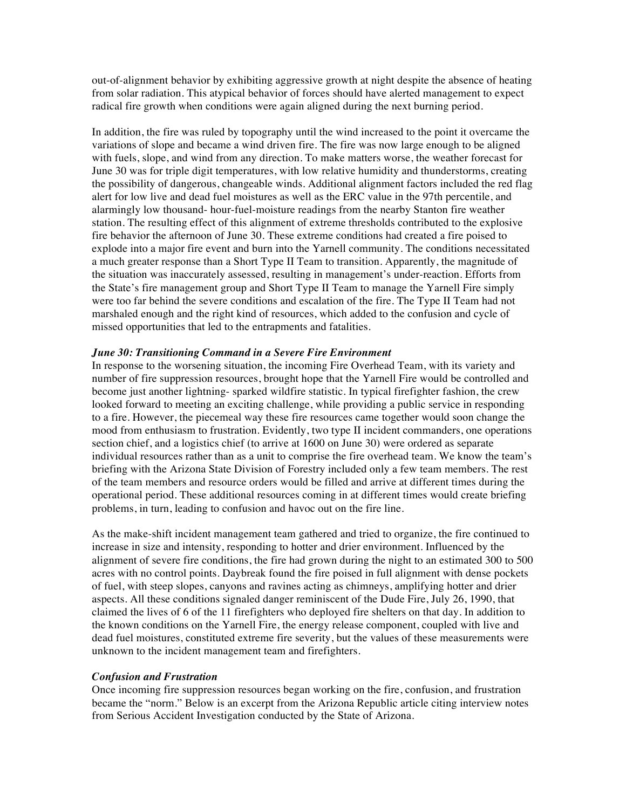out-of-alignment behavior by exhibiting aggressive growth at night despite the absence of heating from solar radiation. This atypical behavior of forces should have alerted management to expect radical fire growth when conditions were again aligned during the next burning period.

In addition, the fire was ruled by topography until the wind increased to the point it overcame the variations of slope and became a wind driven fire. The fire was now large enough to be aligned with fuels, slope, and wind from any direction. To make matters worse, the weather forecast for June 30 was for triple digit temperatures, with low relative humidity and thunderstorms, creating the possibility of dangerous, changeable winds. Additional alignment factors included the red flag alert for low live and dead fuel moistures as well as the ERC value in the 97th percentile, and alarmingly low thousand- hour-fuel-moisture readings from the nearby Stanton fire weather station. The resulting effect of this alignment of extreme thresholds contributed to the explosive fire behavior the afternoon of June 30. These extreme conditions had created a fire poised to explode into a major fire event and burn into the Yarnell community. The conditions necessitated a much greater response than a Short Type II Team to transition. Apparently, the magnitude of the situation was inaccurately assessed, resulting in management's under-reaction. Efforts from the State's fire management group and Short Type II Team to manage the Yarnell Fire simply were too far behind the severe conditions and escalation of the fire. The Type II Team had not marshaled enough and the right kind of resources, which added to the confusion and cycle of missed opportunities that led to the entrapments and fatalities.

### *June 30: Transitioning Command in a Severe Fire Environment*

In response to the worsening situation, the incoming Fire Overhead Team, with its variety and number of fire suppression resources, brought hope that the Yarnell Fire would be controlled and become just another lightning- sparked wildfire statistic. In typical firefighter fashion, the crew looked forward to meeting an exciting challenge, while providing a public service in responding to a fire. However, the piecemeal way these fire resources came together would soon change the mood from enthusiasm to frustration. Evidently, two type II incident commanders, one operations section chief, and a logistics chief (to arrive at 1600 on June 30) were ordered as separate individual resources rather than as a unit to comprise the fire overhead team. We know the team's briefing with the Arizona State Division of Forestry included only a few team members. The rest of the team members and resource orders would be filled and arrive at different times during the operational period. These additional resources coming in at different times would create briefing problems, in turn, leading to confusion and havoc out on the fire line.

As the make-shift incident management team gathered and tried to organize, the fire continued to increase in size and intensity, responding to hotter and drier environment. Influenced by the alignment of severe fire conditions, the fire had grown during the night to an estimated 300 to 500 acres with no control points. Daybreak found the fire poised in full alignment with dense pockets of fuel, with steep slopes, canyons and ravines acting as chimneys, amplifying hotter and drier aspects. All these conditions signaled danger reminiscent of the Dude Fire, July 26, 1990, that claimed the lives of 6 of the 11 firefighters who deployed fire shelters on that day. In addition to the known conditions on the Yarnell Fire, the energy release component, coupled with live and dead fuel moistures, constituted extreme fire severity, but the values of these measurements were unknown to the incident management team and firefighters.

#### *Confusion and Frustration*

Once incoming fire suppression resources began working on the fire, confusion, and frustration became the "norm." Below is an excerpt from the Arizona Republic article citing interview notes from Serious Accident Investigation conducted by the State of Arizona.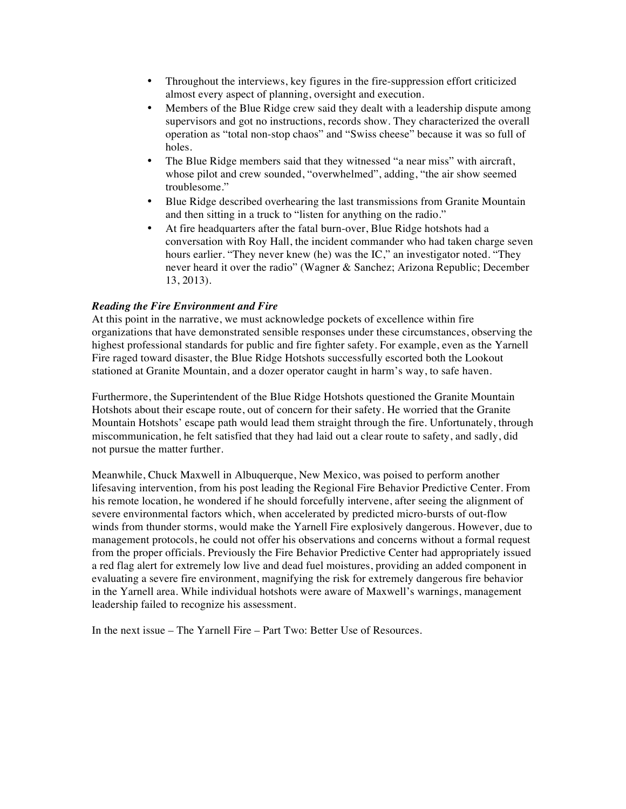- Throughout the interviews, key figures in the fire-suppression effort criticized almost every aspect of planning, oversight and execution.
- Members of the Blue Ridge crew said they dealt with a leadership dispute among supervisors and got no instructions, records show. They characterized the overall operation as "total non-stop chaos" and "Swiss cheese" because it was so full of holes.
- The Blue Ridge members said that they witnessed "a near miss" with aircraft, whose pilot and crew sounded, "overwhelmed", adding, "the air show seemed troublesome."
- Blue Ridge described overhearing the last transmissions from Granite Mountain and then sitting in a truck to "listen for anything on the radio."
- At fire headquarters after the fatal burn-over, Blue Ridge hotshots had a conversation with Roy Hall, the incident commander who had taken charge seven hours earlier. "They never knew (he) was the IC," an investigator noted. "They never heard it over the radio" (Wagner & Sanchez; Arizona Republic; December 13, 2013).

## *Reading the Fire Environment and Fire*

At this point in the narrative, we must acknowledge pockets of excellence within fire organizations that have demonstrated sensible responses under these circumstances, observing the highest professional standards for public and fire fighter safety. For example, even as the Yarnell Fire raged toward disaster, the Blue Ridge Hotshots successfully escorted both the Lookout stationed at Granite Mountain, and a dozer operator caught in harm's way, to safe haven.

Furthermore, the Superintendent of the Blue Ridge Hotshots questioned the Granite Mountain Hotshots about their escape route, out of concern for their safety. He worried that the Granite Mountain Hotshots' escape path would lead them straight through the fire. Unfortunately, through miscommunication, he felt satisfied that they had laid out a clear route to safety, and sadly, did not pursue the matter further.

Meanwhile, Chuck Maxwell in Albuquerque, New Mexico, was poised to perform another lifesaving intervention, from his post leading the Regional Fire Behavior Predictive Center. From his remote location, he wondered if he should forcefully intervene, after seeing the alignment of severe environmental factors which, when accelerated by predicted micro-bursts of out-flow winds from thunder storms, would make the Yarnell Fire explosively dangerous. However, due to management protocols, he could not offer his observations and concerns without a formal request from the proper officials. Previously the Fire Behavior Predictive Center had appropriately issued a red flag alert for extremely low live and dead fuel moistures, providing an added component in evaluating a severe fire environment, magnifying the risk for extremely dangerous fire behavior in the Yarnell area. While individual hotshots were aware of Maxwell's warnings, management leadership failed to recognize his assessment.

In the next issue – The Yarnell Fire – Part Two: Better Use of Resources.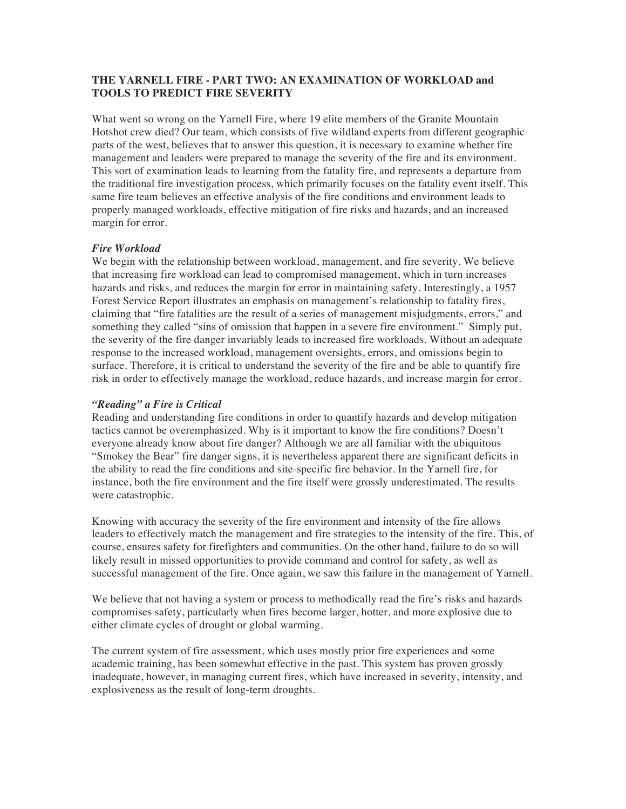# **THE YARNELL FIRE - PART TWO: AN EXAMINATION OF WORKLOAD and TOOLS TO PREDICT FIRE SEVERITY**

What went so wrong on the Yarnell Fire, where 19 elite members of the Granite Mountain Hotshot crew died? Our team, which consists of five wildland experts from different geographic parts of the west, believes that to answer this question, it is necessary to examine whether fire management and leaders were prepared to manage the severity of the fire and its environment. This sort of examination leads to learning from the fatality fire, and represents a departure from the traditional fire investigation process, which primarily focuses on the fatality event itself. This same fire team believes an effective analysis of the fire conditions and environment leads to properly managed workloads, effective mitigation of fire risks and hazards, and an increased margin for error.

### *Fire Workload*

We begin with the relationship between workload, management, and fire severity. We believe that increasing fire workload can lead to compromised management, which in turn increases hazards and risks, and reduces the margin for error in maintaining safety. Interestingly, a 1957 Forest Service Report illustrates an emphasis on management's relationship to fatality fires, claiming that "fire fatalities are the result of a series of management misjudgments, errors," and something they called "sins of omission that happen in a severe fire environment." Simply put, the severity of the fire danger invariably leads to increased fire workloads. Without an adequate response to the increased workload, management oversights, errors, and omissions begin to surface. Therefore, it is critical to understand the severity of the fire and be able to quantify fire risk in order to effectively manage the workload, reduce hazards, and increase margin for error.

### *"Reading" a Fire is Critical*

Reading and understanding fire conditions in order to quantify hazards and develop mitigation tactics cannot be overemphasized. Why is it important to know the fire conditions? Doesn't everyone already know about fire danger? Although we are all familiar with the ubiquitous "Smokey the Bear" fire danger signs, it is nevertheless apparent there are significant deficits in the ability to read the fire conditions and site-specific fire behavior. In the Yarnell fire, for instance, both the fire environment and the fire itself were grossly underestimated. The results were catastrophic.

Knowing with accuracy the severity of the fire environment and intensity of the fire allows leaders to effectively match the management and fire strategies to the intensity of the fire. This, of course, ensures safety for firefighters and communities. On the other hand, failure to do so will likely result in missed opportunities to provide command and control for safety, as well as successful management of the fire. Once again, we saw this failure in the management of Yarnell.

We believe that not having a system or process to methodically read the fire's risks and hazards compromises safety, particularly when fires become larger, hotter, and more explosive due to either climate cycles of drought or global warming.

The current system of fire assessment, which uses mostly prior fire experiences and some academic training, has been somewhat effective in the past. This system has proven grossly inadequate, however, in managing current fires, which have increased in severity, intensity, and explosiveness as the result of long-term droughts.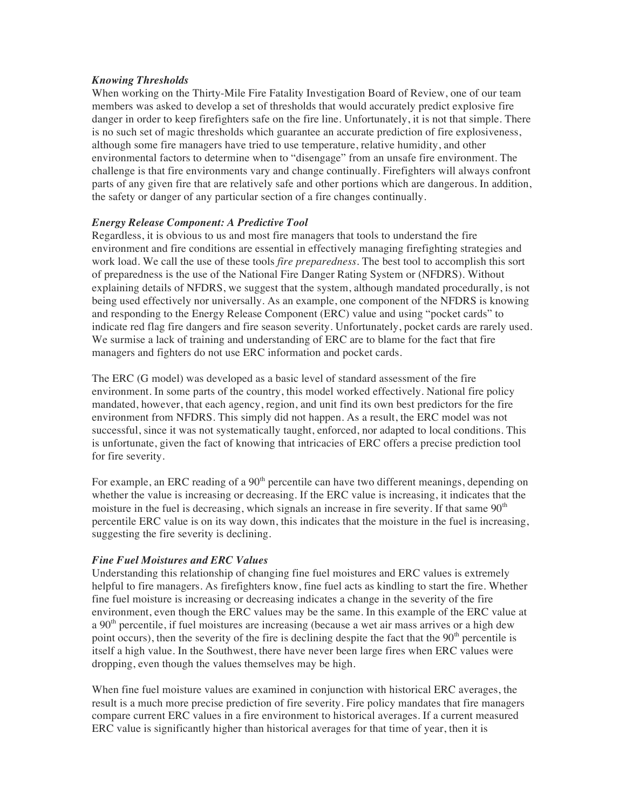### *Knowing Thresholds*

When working on the Thirty-Mile Fire Fatality Investigation Board of Review, one of our team members was asked to develop a set of thresholds that would accurately predict explosive fire danger in order to keep firefighters safe on the fire line. Unfortunately, it is not that simple. There is no such set of magic thresholds which guarantee an accurate prediction of fire explosiveness, although some fire managers have tried to use temperature, relative humidity, and other environmental factors to determine when to "disengage" from an unsafe fire environment. The challenge is that fire environments vary and change continually. Firefighters will always confront parts of any given fire that are relatively safe and other portions which are dangerous. In addition, the safety or danger of any particular section of a fire changes continually.

## *Energy Release Component: A Predictive Tool*

Regardless, it is obvious to us and most fire managers that tools to understand the fire environment and fire conditions are essential in effectively managing firefighting strategies and work load. We call the use of these tools *fire preparedness.* The best tool to accomplish this sort of preparedness is the use of the National Fire Danger Rating System or (NFDRS). Without explaining details of NFDRS, we suggest that the system, although mandated procedurally, is not being used effectively nor universally. As an example, one component of the NFDRS is knowing and responding to the Energy Release Component (ERC) value and using "pocket cards" to indicate red flag fire dangers and fire season severity. Unfortunately, pocket cards are rarely used. We surmise a lack of training and understanding of ERC are to blame for the fact that fire managers and fighters do not use ERC information and pocket cards.

The ERC (G model) was developed as a basic level of standard assessment of the fire environment. In some parts of the country, this model worked effectively. National fire policy mandated, however, that each agency, region, and unit find its own best predictors for the fire environment from NFDRS. This simply did not happen. As a result, the ERC model was not successful, since it was not systematically taught, enforced, nor adapted to local conditions. This is unfortunate, given the fact of knowing that intricacies of ERC offers a precise prediction tool for fire severity.

For example, an ERC reading of a 90<sup>th</sup> percentile can have two different meanings, depending on whether the value is increasing or decreasing. If the ERC value is increasing, it indicates that the moisture in the fuel is decreasing, which signals an increase in fire severity. If that same  $90<sup>th</sup>$ percentile ERC value is on its way down, this indicates that the moisture in the fuel is increasing, suggesting the fire severity is declining.

## *Fine Fuel Moistures and ERC Values*

Understanding this relationship of changing fine fuel moistures and ERC values is extremely helpful to fire managers. As firefighters know, fine fuel acts as kindling to start the fire. Whether fine fuel moisture is increasing or decreasing indicates a change in the severity of the fire environment, even though the ERC values may be the same. In this example of the ERC value at a  $90<sup>th</sup>$  percentile, if fuel moistures are increasing (because a wet air mass arrives or a high dew point occurs), then the severity of the fire is declining despite the fact that the  $90<sup>th</sup>$  percentile is itself a high value. In the Southwest, there have never been large fires when ERC values were dropping, even though the values themselves may be high.

When fine fuel moisture values are examined in conjunction with historical ERC averages, the result is a much more precise prediction of fire severity. Fire policy mandates that fire managers compare current ERC values in a fire environment to historical averages. If a current measured ERC value is significantly higher than historical averages for that time of year, then it is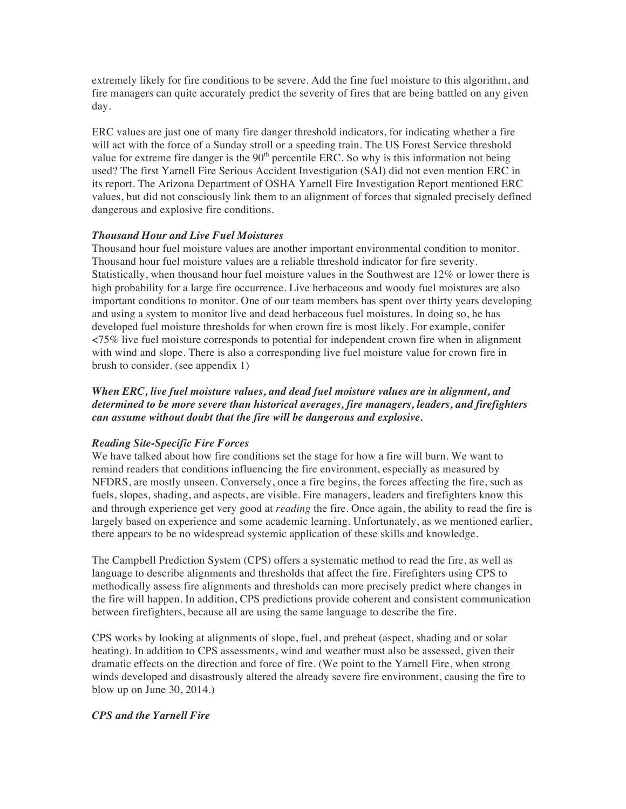extremely likely for fire conditions to be severe. Add the fine fuel moisture to this algorithm, and fire managers can quite accurately predict the severity of fires that are being battled on any given day.

ERC values are just one of many fire danger threshold indicators, for indicating whether a fire will act with the force of a Sunday stroll or a speeding train. The US Forest Service threshold value for extreme fire danger is the  $90<sup>th</sup>$  percentile ERC. So why is this information not being used? The first Yarnell Fire Serious Accident Investigation (SAI) did not even mention ERC in its report. The Arizona Department of OSHA Yarnell Fire Investigation Report mentioned ERC values, but did not consciously link them to an alignment of forces that signaled precisely defined dangerous and explosive fire conditions.

## *Thousand Hour and Live Fuel Moistures*

Thousand hour fuel moisture values are another important environmental condition to monitor. Thousand hour fuel moisture values are a reliable threshold indicator for fire severity. Statistically, when thousand hour fuel moisture values in the Southwest are 12% or lower there is high probability for a large fire occurrence. Live herbaceous and woody fuel moistures are also important conditions to monitor. One of our team members has spent over thirty years developing and using a system to monitor live and dead herbaceous fuel moistures. In doing so, he has developed fuel moisture thresholds for when crown fire is most likely. For example, conifer <75% live fuel moisture corresponds to potential for independent crown fire when in alignment with wind and slope. There is also a corresponding live fuel moisture value for crown fire in brush to consider. (see appendix 1)

*When ERC, live fuel moisture values, and dead fuel moisture values are in alignment, and determined to be more severe than historical averages, fire managers, leaders, and firefighters can assume without doubt that the fire will be dangerous and explosive.* 

## *Reading Site-Specific Fire Forces*

We have talked about how fire conditions set the stage for how a fire will burn. We want to remind readers that conditions influencing the fire environment, especially as measured by NFDRS, are mostly unseen. Conversely, once a fire begins, the forces affecting the fire, such as fuels, slopes, shading, and aspects, are visible. Fire managers, leaders and firefighters know this and through experience get very good at *reading* the fire. Once again, the ability to read the fire is largely based on experience and some academic learning. Unfortunately, as we mentioned earlier, there appears to be no widespread systemic application of these skills and knowledge.

The Campbell Prediction System (CPS) offers a systematic method to read the fire, as well as language to describe alignments and thresholds that affect the fire. Firefighters using CPS to methodically assess fire alignments and thresholds can more precisely predict where changes in the fire will happen. In addition, CPS predictions provide coherent and consistent communication between firefighters, because all are using the same language to describe the fire.

CPS works by looking at alignments of slope, fuel, and preheat (aspect, shading and or solar heating). In addition to CPS assessments, wind and weather must also be assessed, given their dramatic effects on the direction and force of fire. (We point to the Yarnell Fire, when strong winds developed and disastrously altered the already severe fire environment, causing the fire to blow up on June 30, 2014.)

## *CPS and the Yarnell Fire*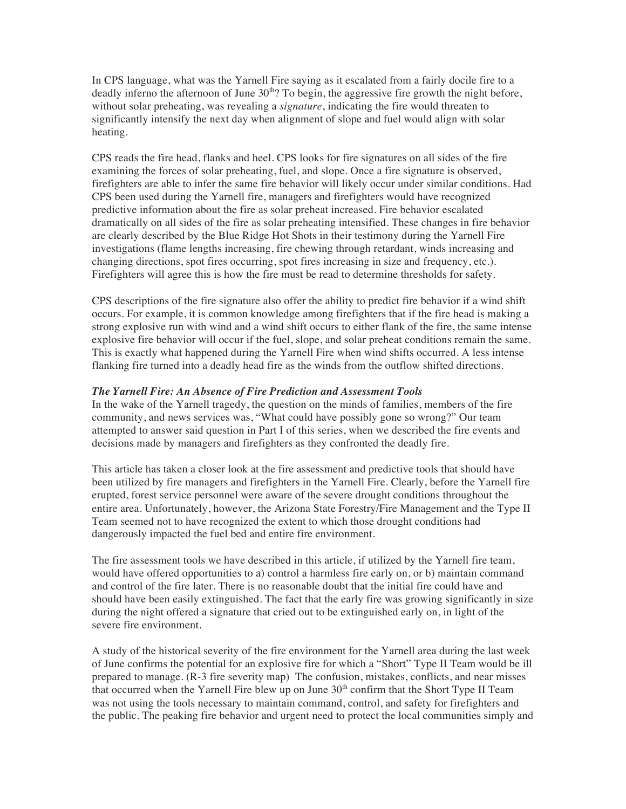In CPS language, what was the Yarnell Fire saying as it escalated from a fairly docile fire to a deadly inferno the afternoon of June  $30<sup>th</sup>$ ? To begin, the aggressive fire growth the night before, without solar preheating, was revealing a *signature*, indicating the fire would threaten to significantly intensify the next day when alignment of slope and fuel would align with solar heating.

CPS reads the fire head, flanks and heel. CPS looks for fire signatures on all sides of the fire examining the forces of solar preheating, fuel, and slope. Once a fire signature is observed, firefighters are able to infer the same fire behavior will likely occur under similar conditions. Had CPS been used during the Yarnell fire, managers and firefighters would have recognized predictive information about the fire as solar preheat increased. Fire behavior escalated dramatically on all sides of the fire as solar preheating intensified. These changes in fire behavior are clearly described by the Blue Ridge Hot Shots in their testimony during the Yarnell Fire investigations (flame lengths increasing, fire chewing through retardant, winds increasing and changing directions, spot fires occurring, spot fires increasing in size and frequency, etc.). Firefighters will agree this is how the fire must be read to determine thresholds for safety.

CPS descriptions of the fire signature also offer the ability to predict fire behavior if a wind shift occurs. For example, it is common knowledge among firefighters that if the fire head is making a strong explosive run with wind and a wind shift occurs to either flank of the fire, the same intense explosive fire behavior will occur if the fuel, slope, and solar preheat conditions remain the same. This is exactly what happened during the Yarnell Fire when wind shifts occurred. A less intense flanking fire turned into a deadly head fire as the winds from the outflow shifted directions.

#### *The Yarnell Fire: An Absence of Fire Prediction and Assessment Tools*

In the wake of the Yarnell tragedy, the question on the minds of families, members of the fire community, and news services was, "What could have possibly gone so wrong?" Our team attempted to answer said question in Part I of this series, when we described the fire events and decisions made by managers and firefighters as they confronted the deadly fire.

This article has taken a closer look at the fire assessment and predictive tools that should have been utilized by fire managers and firefighters in the Yarnell Fire. Clearly, before the Yarnell fire erupted, forest service personnel were aware of the severe drought conditions throughout the entire area. Unfortunately, however, the Arizona State Forestry/Fire Management and the Type II Team seemed not to have recognized the extent to which those drought conditions had dangerously impacted the fuel bed and entire fire environment.

The fire assessment tools we have described in this article, if utilized by the Yarnell fire team, would have offered opportunities to a) control a harmless fire early on, or b) maintain command and control of the fire later. There is no reasonable doubt that the initial fire could have and should have been easily extinguished. The fact that the early fire was growing significantly in size during the night offered a signature that cried out to be extinguished early on, in light of the severe fire environment.

A study of the historical severity of the fire environment for the Yarnell area during the last week of June confirms the potential for an explosive fire for which a "Short" Type II Team would be ill prepared to manage. (R-3 fire severity map) The confusion, mistakes, conflicts, and near misses that occurred when the Yarnell Fire blew up on June  $30<sup>th</sup>$  confirm that the Short Type II Team was not using the tools necessary to maintain command, control, and safety for firefighters and the public. The peaking fire behavior and urgent need to protect the local communities simply and